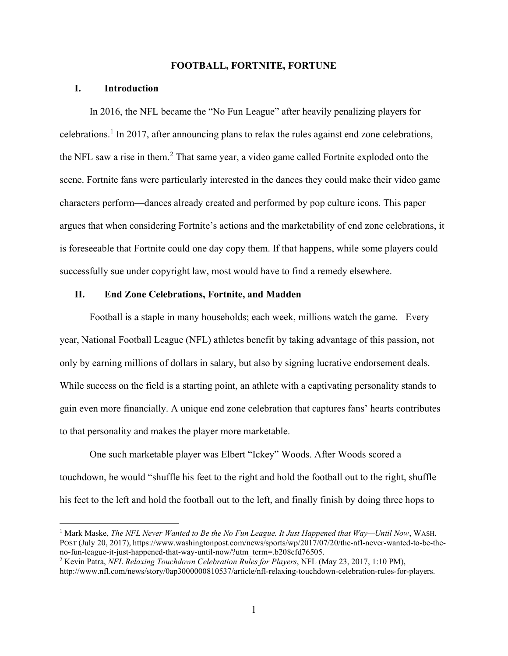#### FOOTBALL, FORTNITE, FORTUNE

## I. Introduction

In 2016, the NFL became the "No Fun League" after heavily penalizing players for celebrations.<sup>1</sup> In 2017, after announcing plans to relax the rules against end zone celebrations, the NFL saw a rise in them.<sup>2</sup> That same year, a video game called Fortnite exploded onto the scene. Fortnite fans were particularly interested in the dances they could make their video game characters perform—dances already created and performed by pop culture icons. This paper argues that when considering Fortnite's actions and the marketability of end zone celebrations, it is foreseeable that Fortnite could one day copy them. If that happens, while some players could successfully sue under copyright law, most would have to find a remedy elsewhere.

### II. End Zone Celebrations, Fortnite, and Madden

Football is a staple in many households; each week, millions watch the game. Every year, National Football League (NFL) athletes benefit by taking advantage of this passion, not only by earning millions of dollars in salary, but also by signing lucrative endorsement deals. While success on the field is a starting point, an athlete with a captivating personality stands to gain even more financially. A unique end zone celebration that captures fans' hearts contributes to that personality and makes the player more marketable.

 One such marketable player was Elbert "Ickey" Woods. After Woods scored a touchdown, he would "shuffle his feet to the right and hold the football out to the right, shuffle his feet to the left and hold the football out to the left, and finally finish by doing three hops to

<sup>&</sup>lt;sup>1</sup> Mark Maske, *The NFL Never Wanted to Be the No Fun League. It Just Happened that Way—Until Now*, WASH. POST (July 20, 2017), https://www.washingtonpost.com/news/sports/wp/2017/07/20/the-nfl-never-wanted-to-be-theno-fun-league-it-just-happened-that-way-until-now/?utm\_term=.b208cfd76505.

<sup>&</sup>lt;sup>2</sup> Kevin Patra, *NFL Relaxing Touchdown Celebration Rules for Players*, NFL (May 23, 2017, 1:10 PM), http://www.nfl.com/news/story/0ap3000000810537/article/nfl-relaxing-touchdown-celebration-rules-for-players.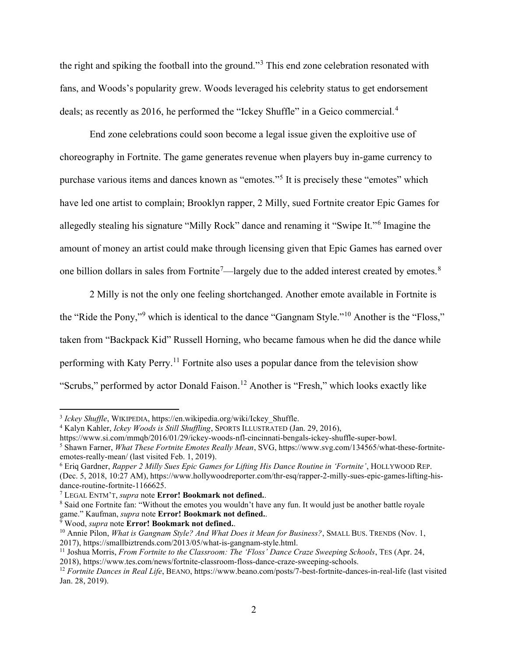the right and spiking the football into the ground."<sup>3</sup> This end zone celebration resonated with fans, and Woods's popularity grew. Woods leveraged his celebrity status to get endorsement deals; as recently as 2016, he performed the "Ickey Shuffle" in a Geico commercial.<sup>4</sup>

End zone celebrations could soon become a legal issue given the exploitive use of choreography in Fortnite. The game generates revenue when players buy in-game currency to purchase various items and dances known as "emotes."<sup>5</sup> It is precisely these "emotes" which have led one artist to complain; Brooklyn rapper, 2 Milly, sued Fortnite creator Epic Games for allegedly stealing his signature "Milly Rock" dance and renaming it "Swipe It."<sup>6</sup> Imagine the amount of money an artist could make through licensing given that Epic Games has earned over one billion dollars in sales from Fortnite<sup>7</sup>—largely due to the added interest created by emotes.<sup>8</sup>

2 Milly is not the only one feeling shortchanged. Another emote available in Fortnite is the "Ride the Pony,"<sup>9</sup> which is identical to the dance "Gangnam Style."<sup>10</sup> Another is the "Floss," taken from "Backpack Kid" Russell Horning, who became famous when he did the dance while performing with Katy Perry.<sup>11</sup> Fortnite also uses a popular dance from the television show "Scrubs," performed by actor Donald Faison.<sup>12</sup> Another is "Fresh," which looks exactly like

<sup>9</sup> Wood, *supra* note **Error! Bookmark not defined.**.

2018), https://www.tes.com/news/fortnite-classroom-floss-dance-craze-sweeping-schools.

<sup>&</sup>lt;sup>3</sup> Ickey Shuffle, WIKIPEDIA, https://en.wikipedia.org/wiki/Ickey\_Shuffle.

<sup>&</sup>lt;sup>4</sup> Kalyn Kahler, Ickey Woods is Still Shuffling, SPORTS ILLUSTRATED (Jan. 29, 2016),

https://www.si.com/mmqb/2016/01/29/ickey-woods-nfl-cincinnati-bengals-ickey-shuffle-super-bowl.

<sup>&</sup>lt;sup>5</sup> Shawn Farner, What These Fortnite Emotes Really Mean, SVG, https://www.svg.com/134565/what-these-fortniteemotes-really-mean/ (last visited Feb. 1, 2019).

<sup>&</sup>lt;sup>6</sup> Eriq Gardner, Rapper 2 Milly Sues Epic Games for Lifting His Dance Routine in 'Fortnite', HOLLYWOOD REP. (Dec. 5, 2018, 10:27 AM), https://www.hollywoodreporter.com/thr-esq/rapper-2-milly-sues-epic-games-lifting-hisdance-routine-fortnite-1166625.

 $7$  LEGAL ENTM'T, *supra* note **Error! Bookmark not defined.**.

<sup>&</sup>lt;sup>8</sup> Said one Fortnite fan: "Without the emotes you wouldn't have any fun. It would just be another battle royale game." Kaufman, supra note Error! Bookmark not defined..

<sup>&</sup>lt;sup>10</sup> Annie Pilon, What is Gangnam Style? And What Does it Mean for Business?, SMALL BUS. TRENDS (Nov. 1, 2017), https://smallbiztrends.com/2013/05/what-is-gangnam-style.html.

<sup>&</sup>lt;sup>11</sup> Joshua Morris, *From Fortnite to the Classroom: The 'Floss' Dance Craze Sweeping Schools*, TES (Apr. 24,

 $12$  Fortnite Dances in Real Life, BEANO, https://www.beano.com/posts/7-best-fortnite-dances-in-real-life (last visited Jan. 28, 2019).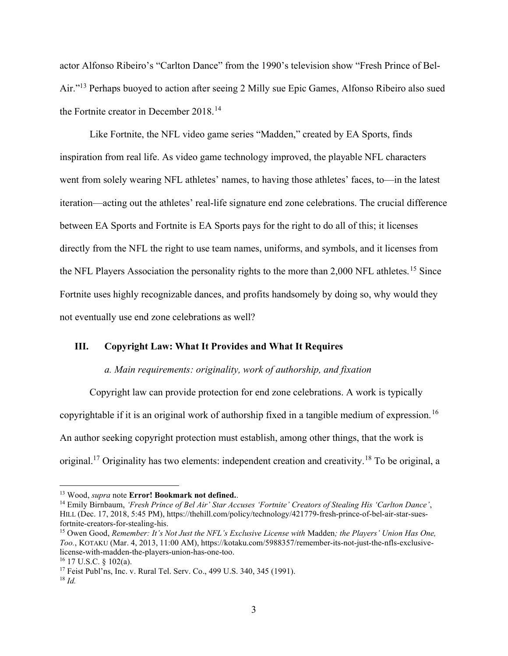actor Alfonso Ribeiro's "Carlton Dance" from the 1990's television show "Fresh Prince of Bel-Air."<sup>13</sup> Perhaps buoyed to action after seeing 2 Milly sue Epic Games, Alfonso Ribeiro also sued the Fortnite creator in December 2018.<sup>14</sup>

Like Fortnite, the NFL video game series "Madden," created by EA Sports, finds inspiration from real life. As video game technology improved, the playable NFL characters went from solely wearing NFL athletes' names, to having those athletes' faces, to—in the latest iteration—acting out the athletes' real-life signature end zone celebrations. The crucial difference between EA Sports and Fortnite is EA Sports pays for the right to do all of this; it licenses directly from the NFL the right to use team names, uniforms, and symbols, and it licenses from the NFL Players Association the personality rights to the more than 2,000 NFL athletes.<sup>15</sup> Since Fortnite uses highly recognizable dances, and profits handsomely by doing so, why would they not eventually use end zone celebrations as well?

# III. Copyright Law: What It Provides and What It Requires

### a. Main requirements: originality, work of authorship, and fixation

 Copyright law can provide protection for end zone celebrations. A work is typically copyrightable if it is an original work of authorship fixed in a tangible medium of expression.<sup>16</sup> An author seeking copyright protection must establish, among other things, that the work is original.<sup>17</sup> Originality has two elements: independent creation and creativity.<sup>18</sup> To be original, a

<sup>&</sup>lt;sup>13</sup> Wood, *supra* note **Error! Bookmark not defined.**.

<sup>&</sup>lt;sup>14</sup> Emily Birnbaum, 'Fresh Prince of Bel Air' Star Accuses 'Fortnite' Creators of Stealing His 'Carlton Dance', HILL (Dec. 17, 2018, 5:45 PM), https://thehill.com/policy/technology/421779-fresh-prince-of-bel-air-star-suesfortnite-creators-for-stealing-his.

<sup>&</sup>lt;sup>15</sup> Owen Good, Remember: It's Not Just the NFL's Exclusive License with Madden; the Players' Union Has One, Too., KOTAKU (Mar. 4, 2013, 11:00 AM), https://kotaku.com/5988357/remember-its-not-just-the-nfls-exclusivelicense-with-madden-the-players-union-has-one-too.

 $16$  17 U.S.C. § 102(a).

<sup>17</sup> Feist Publ'ns, Inc. v. Rural Tel. Serv. Co., 499 U.S. 340, 345 (1991).  $18$  Id.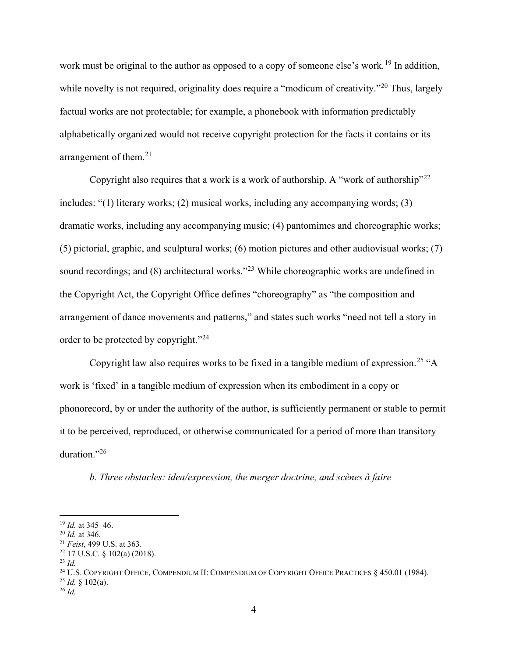work must be original to the author as opposed to a copy of someone else's work.<sup>19</sup> In addition, while novelty is not required, originality does require a "modicum of creativity."<sup>20</sup> Thus, largely factual works are not protectable; for example, a phonebook with information predictably alphabetically organized would not receive copyright protection for the facts it contains or its arrangement of them. $21$ 

Copyright also requires that a work is a work of authorship. A "work of authorship"<sup>22</sup> includes: "(1) literary works; (2) musical works, including any accompanying words; (3) dramatic works, including any accompanying music; (4) pantomimes and choreographic works; (5) pictorial, graphic, and sculptural works; (6) motion pictures and other audiovisual works; (7) sound recordings; and (8) architectural works."<sup>23</sup> While choreographic works are undefined in the Copyright Act, the Copyright Office defines "choreography" as "the composition and arrangement of dance movements and patterns," and states such works "need not tell a story in order to be protected by copyright."<sup>24</sup>

Copyright law also requires works to be fixed in a tangible medium of expression.<sup>25</sup> "A work is 'fixed' in a tangible medium of expression when its embodiment in a copy or phonorecord, by or under the authority of the author, is sufficiently permanent or stable to permit it to be perceived, reproduced, or otherwise communicated for a period of more than transitory duration."26

b. Three obstacles: idea/expression, the merger doctrine, and scènes à faire

<sup>24</sup> U.S. COPYRIGHT OFFICE, COMPENDIUM II: COMPENDIUM OF COPYRIGHT OFFICE PRACTICES § 450.01 (1984).

 $19$  *Id.* at 345–46.

 $20$  *Id.* at 346.

<sup>21</sup> Feist, 499 U.S. at 363.

 $22$  17 U.S.C. § 102(a) (2018).

 $^{23}$  Id.

 $^{25}$  *Id.* § 102(a).

 $^{26}$  *Id.*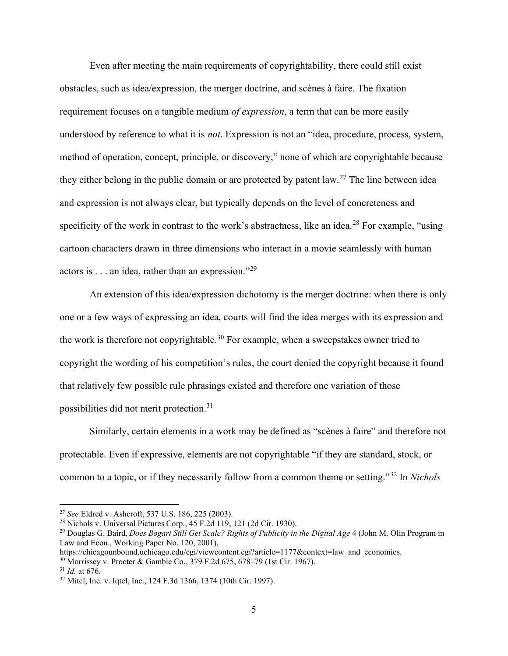Even after meeting the main requirements of copyrightability, there could still exist obstacles, such as idea/expression, the merger doctrine, and scènes à faire. The fixation requirement focuses on a tangible medium of expression, a term that can be more easily understood by reference to what it is not. Expression is not an "idea, procedure, process, system, method of operation, concept, principle, or discovery," none of which are copyrightable because they either belong in the public domain or are protected by patent law.<sup>27</sup> The line between idea and expression is not always clear, but typically depends on the level of concreteness and specificity of the work in contrast to the work's abstractness, like an idea.<sup>28</sup> For example, "using" cartoon characters drawn in three dimensions who interact in a movie seamlessly with human actors is  $\dots$  an idea, rather than an expression."<sup>29</sup>

An extension of this idea/expression dichotomy is the merger doctrine: when there is only one or a few ways of expressing an idea, courts will find the idea merges with its expression and the work is therefore not copyrightable.<sup>30</sup> For example, when a sweepstakes owner tried to copyright the wording of his competition's rules, the court denied the copyright because it found that relatively few possible rule phrasings existed and therefore one variation of those possibilities did not merit protection.<sup>31</sup>

Similarly, certain elements in a work may be defined as "scènes à faire" and therefore not protectable. Even if expressive, elements are not copyrightable "if they are standard, stock, or common to a topic, or if they necessarily follow from a common theme or setting."<sup>32</sup> In *Nichols* 

<sup>27</sup> See Eldred v. Ashcroft, 537 U.S. 186, 225 (2003).

<sup>28</sup> Nichols v. Universal Pictures Corp., 45 F.2d 119, 121 (2d Cir. 1930).

<sup>&</sup>lt;sup>29</sup> Douglas G. Baird, *Does Bogart Still Get Scale? Rights of Publicity in the Digital Age* 4 (John M. Olin Program in Law and Econ., Working Paper No. 120, 2001),

https://chicagounbound.uchicago.edu/cgi/viewcontent.cgi?article=1177&context=law\_and\_economics.

<sup>30</sup> Morrissey v. Procter & Gamble Co., 379 F.2d 675, 678–79 (1st Cir. 1967).

 $31$  *Id.* at 676.

<sup>32</sup> Mitel, Inc. v. Iqtel, Inc., 124 F.3d 1366, 1374 (10th Cir. 1997).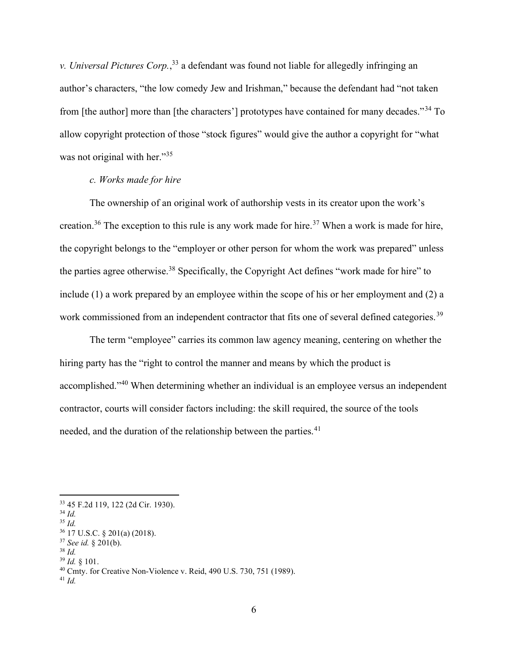v. Universal Pictures Corp.,<sup>33</sup> a defendant was found not liable for allegedly infringing an author's characters, "the low comedy Jew and Irishman," because the defendant had "not taken from [the author] more than [the characters'] prototypes have contained for many decades."<sup>34</sup> To allow copyright protection of those "stock figures" would give the author a copyright for "what was not original with her."<sup>35</sup>

# c. Works made for hire

The ownership of an original work of authorship vests in its creator upon the work's creation.<sup>36</sup> The exception to this rule is any work made for hire.<sup>37</sup> When a work is made for hire, the copyright belongs to the "employer or other person for whom the work was prepared" unless the parties agree otherwise.<sup>38</sup> Specifically, the Copyright Act defines "work made for hire" to include (1) a work prepared by an employee within the scope of his or her employment and (2) a work commissioned from an independent contractor that fits one of several defined categories.<sup>39</sup>

 The term "employee" carries its common law agency meaning, centering on whether the hiring party has the "right to control the manner and means by which the product is accomplished."<sup>40</sup> When determining whether an individual is an employee versus an independent contractor, courts will consider factors including: the skill required, the source of the tools needed, and the duration of the relationship between the parties.<sup>41</sup>

<sup>33</sup> 45 F.2d 119, 122 (2d Cir. 1930).

 $34$  Id.

 $35$  Id.

<sup>36</sup> 17 U.S.C. § 201(a) (2018).

<sup>37</sup> See id. § 201(b).  $38$  Id.

 $39$  Id.  $\&$  101.

 $40$  Cmty. for Creative Non-Violence v. Reid, 490 U.S. 730, 751 (1989).

 $^{41}$  Id.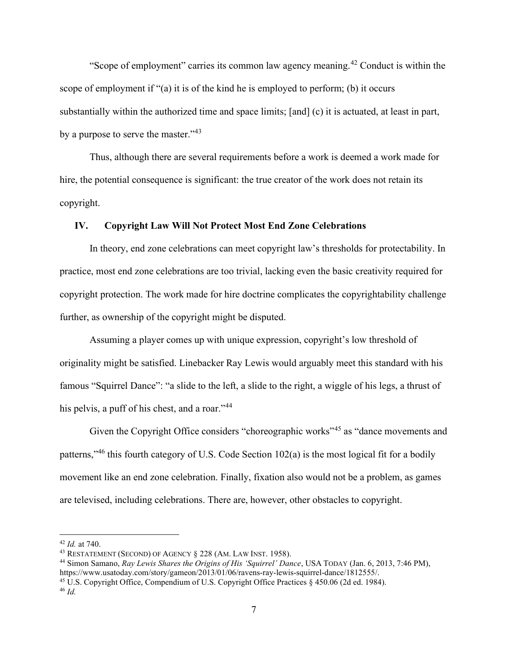"Scope of employment" carries its common law agency meaning.<sup>42</sup> Conduct is within the scope of employment if "(a) it is of the kind he is employed to perform; (b) it occurs substantially within the authorized time and space limits; [and] (c) it is actuated, at least in part, by a purpose to serve the master."<sup>43</sup>

 Thus, although there are several requirements before a work is deemed a work made for hire, the potential consequence is significant: the true creator of the work does not retain its copyright.

## IV. Copyright Law Will Not Protect Most End Zone Celebrations

In theory, end zone celebrations can meet copyright law's thresholds for protectability. In practice, most end zone celebrations are too trivial, lacking even the basic creativity required for copyright protection. The work made for hire doctrine complicates the copyrightability challenge further, as ownership of the copyright might be disputed.

Assuming a player comes up with unique expression, copyright's low threshold of originality might be satisfied. Linebacker Ray Lewis would arguably meet this standard with his famous "Squirrel Dance": "a slide to the left, a slide to the right, a wiggle of his legs, a thrust of his pelvis, a puff of his chest, and a roar."<sup>44</sup>

Given the Copyright Office considers "choreographic works"<sup>45</sup> as "dance movements and patterns,"<sup>46</sup> this fourth category of U.S. Code Section  $102(a)$  is the most logical fit for a bodily movement like an end zone celebration. Finally, fixation also would not be a problem, as games are televised, including celebrations. There are, however, other obstacles to copyright.

 $42$  *Id.* at 740.

<sup>43</sup> RESTATEMENT (SECOND) OF AGENCY § 228 (AM. LAW INST. 1958).

<sup>44</sup> Simon Samano, Ray Lewis Shares the Origins of His 'Squirrel' Dance, USA TODAY (Jan. 6, 2013, 7:46 PM), https://www.usatoday.com/story/gameon/2013/01/06/ravens-ray-lewis-squirrel-dance/1812555/.

<sup>45</sup> U.S. Copyright Office, Compendium of U.S. Copyright Office Practices § 450.06 (2d ed. 1984).

<sup>46</sup> Id.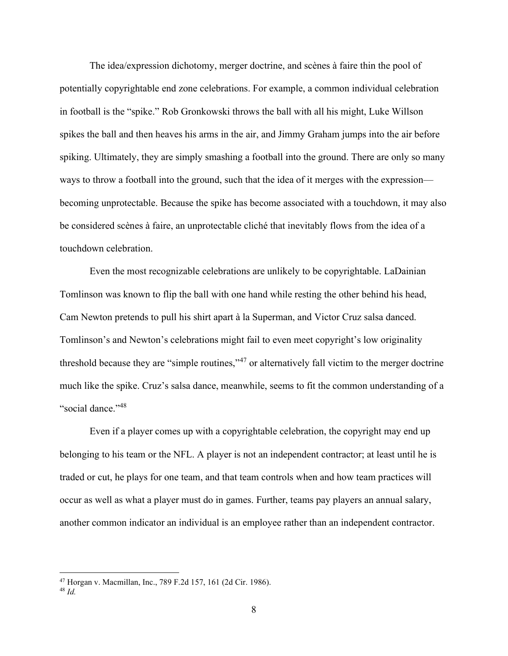The idea/expression dichotomy, merger doctrine, and scènes à faire thin the pool of potentially copyrightable end zone celebrations. For example, a common individual celebration in football is the "spike." Rob Gronkowski throws the ball with all his might, Luke Willson spikes the ball and then heaves his arms in the air, and Jimmy Graham jumps into the air before spiking. Ultimately, they are simply smashing a football into the ground. There are only so many ways to throw a football into the ground, such that the idea of it merges with the expression becoming unprotectable. Because the spike has become associated with a touchdown, it may also be considered scènes à faire, an unprotectable cliché that inevitably flows from the idea of a touchdown celebration.

Even the most recognizable celebrations are unlikely to be copyrightable. LaDainian Tomlinson was known to flip the ball with one hand while resting the other behind his head, Cam Newton pretends to pull his shirt apart à la Superman, and Victor Cruz salsa danced. Tomlinson's and Newton's celebrations might fail to even meet copyright's low originality threshold because they are "simple routines,"<sup>47</sup> or alternatively fall victim to the merger doctrine much like the spike. Cruz's salsa dance, meanwhile, seems to fit the common understanding of a "social dance."<sup>48</sup>

 Even if a player comes up with a copyrightable celebration, the copyright may end up belonging to his team or the NFL. A player is not an independent contractor; at least until he is traded or cut, he plays for one team, and that team controls when and how team practices will occur as well as what a player must do in games. Further, teams pay players an annual salary, another common indicator an individual is an employee rather than an independent contractor.

<sup>47</sup> Horgan v. Macmillan, Inc., 789 F.2d 157, 161 (2d Cir. 1986).

 $48$  *Id.*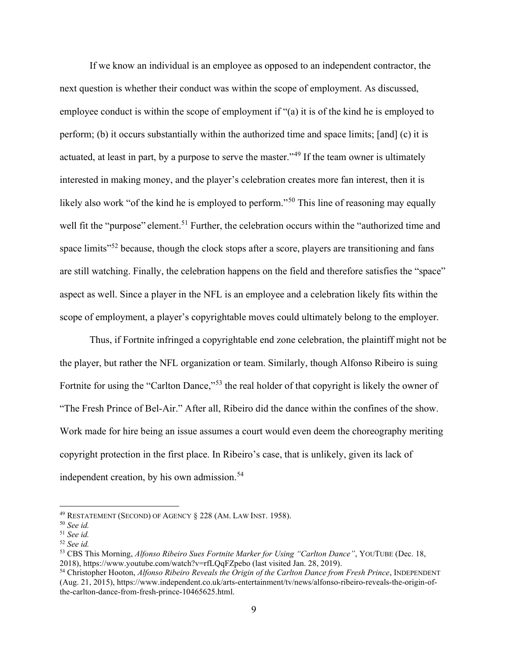If we know an individual is an employee as opposed to an independent contractor, the next question is whether their conduct was within the scope of employment. As discussed, employee conduct is within the scope of employment if "(a) it is of the kind he is employed to perform; (b) it occurs substantially within the authorized time and space limits; [and] (c) it is actuated, at least in part, by a purpose to serve the master."<sup>49</sup> If the team owner is ultimately interested in making money, and the player's celebration creates more fan interest, then it is likely also work "of the kind he is employed to perform."<sup>50</sup> This line of reasoning may equally well fit the "purpose" element.<sup>51</sup> Further, the celebration occurs within the "authorized time and space limits<sup>"52</sup> because, though the clock stops after a score, players are transitioning and fans are still watching. Finally, the celebration happens on the field and therefore satisfies the "space" aspect as well. Since a player in the NFL is an employee and a celebration likely fits within the scope of employment, a player's copyrightable moves could ultimately belong to the employer.

 Thus, if Fortnite infringed a copyrightable end zone celebration, the plaintiff might not be the player, but rather the NFL organization or team. Similarly, though Alfonso Ribeiro is suing Fortnite for using the "Carlton Dance,"<sup>53</sup> the real holder of that copyright is likely the owner of "The Fresh Prince of Bel-Air." After all, Ribeiro did the dance within the confines of the show. Work made for hire being an issue assumes a court would even deem the choreography meriting copyright protection in the first place. In Ribeiro's case, that is unlikely, given its lack of independent creation, by his own admission.<sup>54</sup>

 $49$  RESTATEMENT (SECOND) OF AGENCY  $\S$  228 (AM. LAW INST. 1958).

 $50$  See id.

<sup>51</sup> See id.

<sup>52</sup> See id.

<sup>&</sup>lt;sup>53</sup> CBS This Morning, *Alfonso Ribeiro Sues Fortnite Marker for Using "Carlton Dance"*, YOUTUBE (Dec. 18, 2018), https://www.youtube.com/watch?v=rfLQqFZpebo (last visited Jan. 28, 2019).

<sup>54</sup> Christopher Hooton, Alfonso Ribeiro Reveals the Origin of the Carlton Dance from Fresh Prince, INDEPENDENT (Aug. 21, 2015), https://www.independent.co.uk/arts-entertainment/tv/news/alfonso-ribeiro-reveals-the-origin-ofthe-carlton-dance-from-fresh-prince-10465625.html.